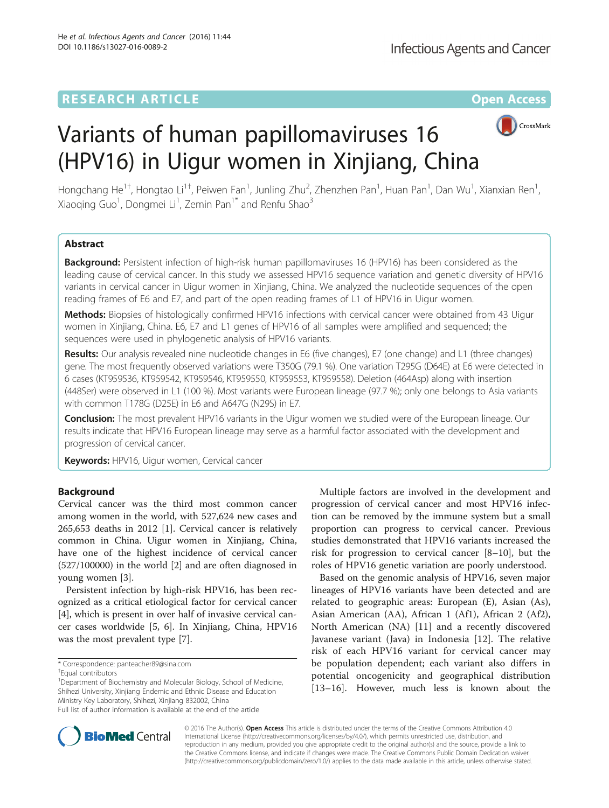# **RESEARCH ARTICLE External Structure Community Community Community Community Community Community Community Community**



# Variants of human papillomaviruses 16 (HPV16) in Uigur women in Xinjiang, China

Hongchang He<sup>1†</sup>, Hongtao Li<sup>1†</sup>, Peiwen Fan<sup>1</sup>, Junling Zhu<sup>2</sup>, Zhenzhen Pan<sup>1</sup>, Huan Pan<sup>1</sup>, Dan Wu<sup>1</sup>, Xianxian Ren<sup>1</sup> , Xiaoqing Guo<sup>1</sup>, Dongmei Li<sup>1</sup>, Zemin Pan<sup>1\*</sup> and Renfu Shao<sup>3</sup>

# Abstract

Background: Persistent infection of high-risk human papillomaviruses 16 (HPV16) has been considered as the leading cause of cervical cancer. In this study we assessed HPV16 sequence variation and genetic diversity of HPV16 variants in cervical cancer in Uigur women in Xinjiang, China. We analyzed the nucleotide sequences of the open reading frames of E6 and E7, and part of the open reading frames of L1 of HPV16 in Uigur women.

Methods: Biopsies of histologically confirmed HPV16 infections with cervical cancer were obtained from 43 Uigur women in Xinjiang, China. E6, E7 and L1 genes of HPV16 of all samples were amplified and sequenced; the sequences were used in phylogenetic analysis of HPV16 variants.

Results: Our analysis revealed nine nucleotide changes in E6 (five changes), E7 (one change) and L1 (three changes) gene. The most frequently observed variations were T350G (79.1 %). One variation T295G (D64E) at E6 were detected in 6 cases (KT959536, KT959542, KT959546, KT959550, KT959553, KT959558). Deletion (464Asp) along with insertion (448Ser) were observed in L1 (100 %). Most variants were European lineage (97.7 %); only one belongs to Asia variants with common T178G (D25E) in E6 and A647G (N29S) in E7.

**Conclusion:** The most prevalent HPV16 variants in the Uigur women we studied were of the European lineage. Our results indicate that HPV16 European lineage may serve as a harmful factor associated with the development and progression of cervical cancer.

Keywords: HPV16, Uigur women, Cervical cancer

# Background

Cervical cancer was the third most common cancer among women in the world, with 527,624 new cases and 265,653 deaths in 2012 [\[1](#page-6-0)]. Cervical cancer is relatively common in China. Uigur women in Xinjiang, China, have one of the highest incidence of cervical cancer (527/100000) in the world [\[2](#page-6-0)] and are often diagnosed in young women [[3\]](#page-6-0).

Persistent infection by high-risk HPV16, has been recognized as a critical etiological factor for cervical cancer [[4\]](#page-6-0), which is present in over half of invasive cervical cancer cases worldwide [\[5, 6\]](#page-6-0). In Xinjiang, China, HPV16 was the most prevalent type [[7\]](#page-6-0).

<sup>1</sup> Department of Biochemistry and Molecular Biology, School of Medicine, Shihezi University, Xinjiang Endemic and Ethnic Disease and Education Ministry Key Laboratory, Shihezi, Xinjiang 832002, China Full list of author information is available at the end of the article

Multiple factors are involved in the development and progression of cervical cancer and most HPV16 infection can be removed by the immune system but a small proportion can progress to cervical cancer. Previous studies demonstrated that HPV16 variants increased the risk for progression to cervical cancer [[8](#page-6-0)–[10](#page-6-0)], but the roles of HPV16 genetic variation are poorly understood.

Based on the genomic analysis of HPV16, seven major lineages of HPV16 variants have been detected and are related to geographic areas: European (E), Asian (As), Asian American (AA), African 1 (Af1), African 2 (Af2), North American (NA) [\[11](#page-6-0)] and a recently discovered Javanese variant (Java) in Indonesia [[12](#page-6-0)]. The relative risk of each HPV16 variant for cervical cancer may be population dependent; each variant also differs in potential oncogenicity and geographical distribution [[13](#page-6-0)–[16\]](#page-6-0). However, much less is known about the



© 2016 The Author(s). Open Access This article is distributed under the terms of the Creative Commons Attribution 4.0 International License [\(http://creativecommons.org/licenses/by/4.0/](http://creativecommons.org/licenses/by/4.0/)), which permits unrestricted use, distribution, and reproduction in any medium, provided you give appropriate credit to the original author(s) and the source, provide a link to the Creative Commons license, and indicate if changes were made. The Creative Commons Public Domain Dedication waiver [\(http://creativecommons.org/publicdomain/zero/1.0/](http://creativecommons.org/publicdomain/zero/1.0/)) applies to the data made available in this article, unless otherwise stated.

<sup>\*</sup> Correspondence: [panteacher89@sina.com](mailto:panteacher89@sina.com) †

<sup>&</sup>lt;sup>†</sup>Faual contributors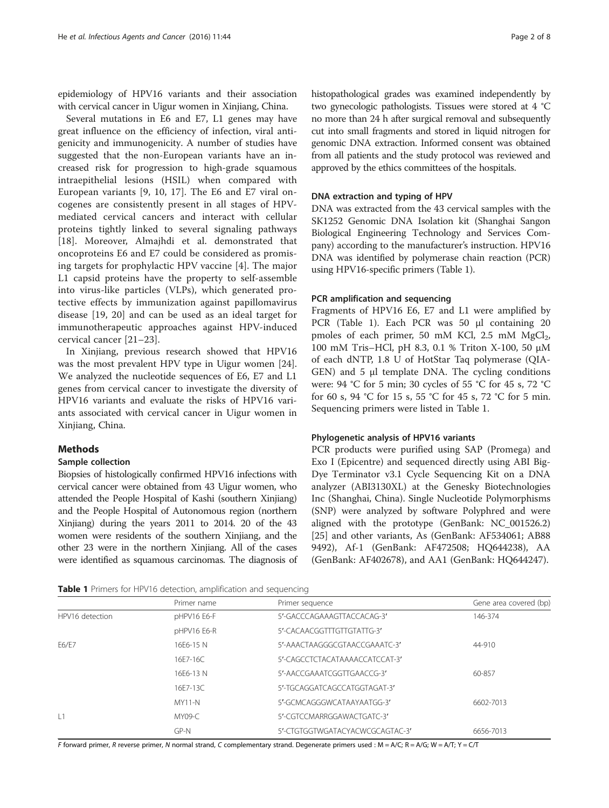epidemiology of HPV16 variants and their association with cervical cancer in Uigur women in Xinjiang, China.

Several mutations in E6 and E7, L1 genes may have great influence on the efficiency of infection, viral antigenicity and immunogenicity. A number of studies have suggested that the non-European variants have an increased risk for progression to high-grade squamous intraepithelial lesions (HSIL) when compared with European variants [[9, 10](#page-6-0), [17](#page-6-0)]. The E6 and E7 viral oncogenes are consistently present in all stages of HPVmediated cervical cancers and interact with cellular proteins tightly linked to several signaling pathways [[18\]](#page-6-0). Moreover, Almajhdi et al. demonstrated that oncoproteins E6 and E7 could be considered as promising targets for prophylactic HPV vaccine [\[4](#page-6-0)]. The major L1 capsid proteins have the property to self-assemble into virus-like particles (VLPs), which generated protective effects by immunization against papillomavirus disease [\[19](#page-6-0), [20](#page-6-0)] and can be used as an ideal target for immunotherapeutic approaches against HPV-induced cervical cancer [[21](#page-6-0)–[23](#page-6-0)].

In Xinjiang, previous research showed that HPV16 was the most prevalent HPV type in Uigur women [\[24](#page-6-0)]. We analyzed the nucleotide sequences of E6, E7 and L1 genes from cervical cancer to investigate the diversity of HPV16 variants and evaluate the risks of HPV16 variants associated with cervical cancer in Uigur women in Xinjiang, China.

#### Methods

# Sample collection

Biopsies of histologically confirmed HPV16 infections with cervical cancer were obtained from 43 Uigur women, who attended the People Hospital of Kashi (southern Xinjiang) and the People Hospital of Autonomous region (northern Xinjiang) during the years 2011 to 2014. 20 of the 43 women were residents of the southern Xinjiang, and the other 23 were in the northern Xinjiang. All of the cases were identified as squamous carcinomas. The diagnosis of histopathological grades was examined independently by two gynecologic pathologists. Tissues were stored at 4 °C no more than 24 h after surgical removal and subsequently cut into small fragments and stored in liquid nitrogen for genomic DNA extraction. Informed consent was obtained from all patients and the study protocol was reviewed and approved by the ethics committees of the hospitals.

#### DNA extraction and typing of HPV

DNA was extracted from the 43 cervical samples with the SK1252 Genomic DNA Isolation kit (Shanghai Sangon Biological Engineering Technology and Services Company) according to the manufacturer's instruction. HPV16 DNA was identified by polymerase chain reaction (PCR) using HPV16-specific primers (Table 1).

#### PCR amplification and sequencing

Fragments of HPV16 E6, E7 and L1 were amplified by PCR (Table 1). Each PCR was 50 μl containing 20 pmoles of each primer, 50 mM KCl, 2.5 mM  $MgCl<sub>2</sub>$ , 100 mM Tris–HCl, pH 8.3, 0.1 % Triton X-100, 50 μM of each dNTP, 1.8 U of HotStar Taq polymerase (QIA-GEN) and 5 μl template DNA. The cycling conditions were: 94 °C for 5 min; 30 cycles of 55 °C for 45 s, 72 °C for 60 s, 94 °C for 15 s, 55 °C for 45 s, 72 °C for 5 min. Sequencing primers were listed in Table 1.

## Phylogenetic analysis of HPV16 variants

PCR products were purified using SAP (Promega) and Exo I (Epicentre) and sequenced directly using ABI Big-Dye Terminator v3.1 Cycle Sequencing Kit on a DNA analyzer (ABI3130XL) at the Genesky Biotechnologies Inc (Shanghai, China). Single Nucleotide Polymorphisms (SNP) were analyzed by software Polyphred and were aligned with the prototype (GenBank: NC\_001526.2) [[25\]](#page-7-0) and other variants, As (GenBank: AF534061; AB88 9492), Af-1 (GenBank: AF472508; HQ644238), AA (GenBank: AF402678), and AA1 (GenBank: HQ644247).

| <b>Table 1</b> Primers for HPV16 detection, amplification and sequencing |  |
|--------------------------------------------------------------------------|--|
|--------------------------------------------------------------------------|--|

|                 | Primer name | Primer sequence                 | Gene area covered (bp) |
|-----------------|-------------|---------------------------------|------------------------|
| HPV16 detection | pHPV16 E6-F | 5'-GACCCAGAAAGTTACCACAG-3'      | 146-374                |
|                 | pHPV16 E6-R | 5'-CACAACGGTTTGTTGTATTG-3'      |                        |
| E6/E7           | 16E6-15 N   | 5'-AAACTAAGGGCGTAACCGAAATC-3'   | 44-910                 |
|                 | 16E7-16C    | 5'-CAGCCTCTACATAAAACCATCCAT-3'  |                        |
|                 | 16E6-13 N   | 5'-AACCGAAATCGGTTGAACCG-3'      | 60-857                 |
|                 | 16F7-13C    | 5'-TGCAGGATCAGCCATGGTAGAT-3'    |                        |
|                 | $MY11-N$    | 5'-GCMCAGGGWCATAAYAATGG-3'      | 6602-7013              |
| 1               | MY09-C      | 5'-CGTCCMARRGGAWACTGATC-3'      |                        |
|                 | GP-N        | 5'-CTGTGGTWGATACYACWCGCAGTAC-3' | 6656-7013              |

F forward primer, R reverse primer, N normal strand, C complementary strand. Degenerate primers used : M = A/C; R = A/G; W = A/T; Y = C/T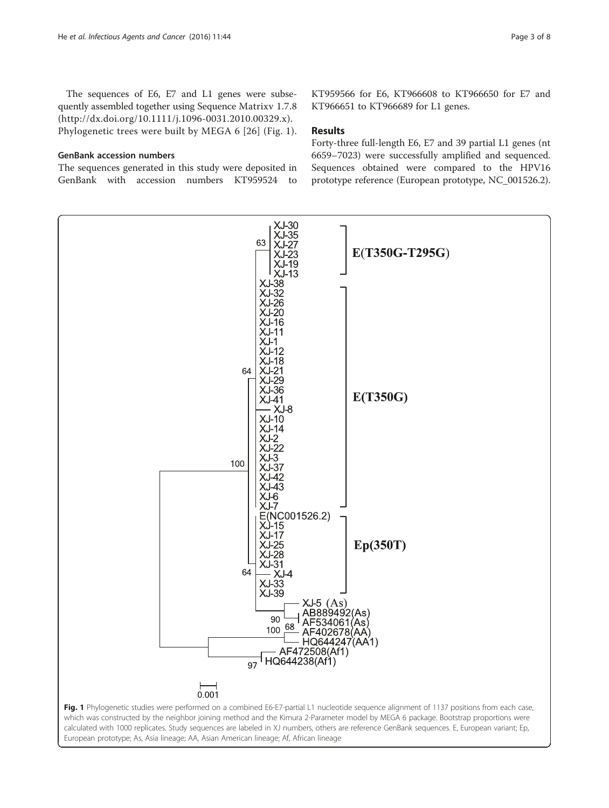<span id="page-2-0"></span>The sequences of E6, E7 and L1 genes were subsequently assembled together using Sequence Matrixv 1.7.8 (http://dx.doi.org/[10.1111/j.1096-0031.2010.00329.x\)](http://dx.doi.org/10.1111/j.1096-0031.2010.00329.x). Phylogenetic trees were built by MEGA 6 [[26](#page-7-0)] (Fig. 1).

### GenBank accession numbers

The sequences generated in this study were deposited in GenBank with accession numbers KT959524 to

KT959566 for E6, KT966608 to KT966650 for E7 and KT966651 to KT966689 for L1 genes.

### Results

Forty-three full-length E6, E7 and 39 partial L1 genes (nt 6659–7023) were successfully amplified and sequenced. Sequences obtained were compared to the HPV16 prototype reference (European prototype, NC\_001526.2).

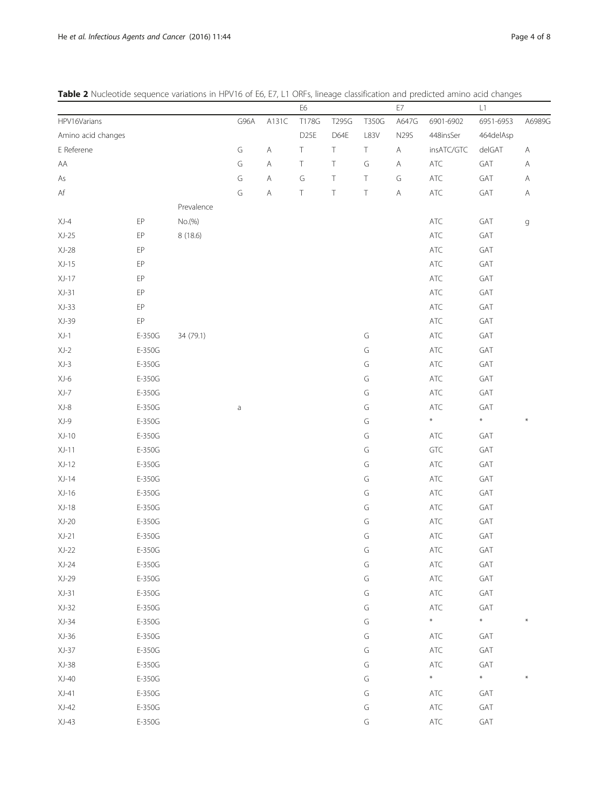<span id="page-3-0"></span>

|  | Table 2 Nucleotide sequence variations in HPV16 of E6, E7, L1 ORFs, lineage classification and predicted amino acid changes |  |
|--|-----------------------------------------------------------------------------------------------------------------------------|--|
|--|-----------------------------------------------------------------------------------------------------------------------------|--|

|                        |        |            |      |              | E6               |        |        | $\mathsf{E}7$                                                                                          |                | L1        |                                                                                                        |
|------------------------|--------|------------|------|--------------|------------------|--------|--------|--------------------------------------------------------------------------------------------------------|----------------|-----------|--------------------------------------------------------------------------------------------------------|
| HPV16Varians           |        |            | G96A | A131C        | T178G            | T295G  | T350G  | A647G                                                                                                  | 6901-6902      | 6951-6953 | A6989G                                                                                                 |
| Amino acid changes     |        |            |      |              | D <sub>25E</sub> | D64E   | L83V   | <b>N29S</b>                                                                                            | 448insSer      | 464delAsp |                                                                                                        |
| E Referene             |        |            | G    | $\mathsf{A}$ | T                | $\top$ | $\top$ | $\mathsf{A}% _{\mathsf{A}}^{\prime}=\mathsf{A}_{\mathsf{A}}^{\prime}=\mathsf{A}_{\mathsf{A}}^{\prime}$ | insATC/GTC     | delGAT    | $\mathsf{A}% _{\mathsf{A}}^{\prime}=\mathsf{A}_{\mathsf{A}}^{\prime}=\mathsf{A}_{\mathsf{A}}^{\prime}$ |
| ${\sf AA}$             |        |            | G    | $\mathsf{A}$ | Τ                | $\top$ | G      | $\mathsf{A}$                                                                                           | ATC            | GAT       | $\mathsf{A}% _{\mathsf{A}}^{\prime}=\mathsf{A}_{\mathsf{A}}^{\prime}=\mathsf{A}_{\mathsf{A}}^{\prime}$ |
| As                     |        |            | G    | $\mathsf{A}$ | G                | $\top$ | $\top$ | G                                                                                                      | ATC            | GAT       | A                                                                                                      |
| $\mathsf{A}\mathsf{f}$ |        |            | G    | $\mathsf{A}$ | Τ                | $\top$ | $\top$ | $\mathsf{A}$                                                                                           | $\sf ATC$      | GAT       | A                                                                                                      |
|                        |        | Prevalence |      |              |                  |        |        |                                                                                                        |                |           |                                                                                                        |
| $XJ-4$                 | $E$ P  | No.(%)     |      |              |                  |        |        |                                                                                                        | ATC            | GAT       | $\mathsf g$                                                                                            |
| $XJ-25$                | EP     | 8 (18.6)   |      |              |                  |        |        |                                                                                                        | ATC            | GAT       |                                                                                                        |
| $XJ-28$                | EP     |            |      |              |                  |        |        |                                                                                                        | $\mathsf{ATC}$ | GAT       |                                                                                                        |
| $XJ-15$                | $E$ P  |            |      |              |                  |        |        |                                                                                                        | $\mathsf{ATC}$ | GAT       |                                                                                                        |
| $XJ-17$                | EP     |            |      |              |                  |        |        |                                                                                                        | ATC            | GAT       |                                                                                                        |
| $XJ-31$                | EP     |            |      |              |                  |        |        |                                                                                                        | $\mathsf{ATC}$ | GAT       |                                                                                                        |
| $XJ-33$                | EP     |            |      |              |                  |        |        |                                                                                                        | ATC            | GAT       |                                                                                                        |
| $XJ-39$                | EP     |            |      |              |                  |        |        |                                                                                                        | $\sf ATC$      | GAT       |                                                                                                        |
| $XJ-1$                 | E-350G | 34 (79.1)  |      |              |                  |        | G      |                                                                                                        | ATC            | GAT       |                                                                                                        |
| $XJ-2$                 | E-350G |            |      |              |                  |        | G      |                                                                                                        | ATC            | GAT       |                                                                                                        |
| $XJ-3$                 | E-350G |            |      |              |                  |        | G      |                                                                                                        | ATC            | GAT       |                                                                                                        |
| $XJ-6$                 | E-350G |            |      |              |                  |        | G      |                                                                                                        | $\mathsf{ATC}$ | GAT       |                                                                                                        |
| $XJ-7$                 | E-350G |            |      |              |                  |        | G      |                                                                                                        | $\mathsf{ATC}$ | GAT       |                                                                                                        |
| $XJ-8$                 | E-350G |            | a    |              |                  |        | G      |                                                                                                        | $\mathsf{ATC}$ | GAT       |                                                                                                        |
| $XJ-9$                 | E-350G |            |      |              |                  |        | G      |                                                                                                        | $\ast$         | $\ast$    |                                                                                                        |
| $XJ-10$                | E-350G |            |      |              |                  |        | G      |                                                                                                        | ATC            | GAT       |                                                                                                        |
| $XJ-11$                | E-350G |            |      |              |                  |        | G      |                                                                                                        | GTC            | GAT       |                                                                                                        |
| $XJ-12$                | E-350G |            |      |              |                  |        | G      |                                                                                                        | ATC            | GAT       |                                                                                                        |
| $XJ-14$                | E-350G |            |      |              |                  |        | G      |                                                                                                        | ATC            | GAT       |                                                                                                        |
| $XJ-16$                | E-350G |            |      |              |                  |        | G      |                                                                                                        | $\sf ATC$      | GAT       |                                                                                                        |
| $XJ-18$                | E-350G |            |      |              |                  |        | G      |                                                                                                        | ATC            | GAT       |                                                                                                        |
| $XJ-20$                | E-350G |            |      |              |                  |        | G      |                                                                                                        | ATC            | GAT       |                                                                                                        |
| $XJ-21$                | E-350G |            |      |              |                  |        | G      |                                                                                                        | ATC            | GAT       |                                                                                                        |
| $XJ-22$                | E-350G |            |      |              |                  |        | G      |                                                                                                        | ATC            | GAT       |                                                                                                        |
| $XJ-24$                | E-350G |            |      |              |                  |        | G      |                                                                                                        | $\sf ATC$      | GAT       |                                                                                                        |
| $XJ-29$                | E-350G |            |      |              |                  |        | G      |                                                                                                        | $\sf ATC$      | GAT       |                                                                                                        |
| $XJ-31$                | E-350G |            |      |              |                  |        | G      |                                                                                                        | ATC            | GAT       |                                                                                                        |
| $XJ-32$                | E-350G |            |      |              |                  |        | G      |                                                                                                        | ATC            | GAT       |                                                                                                        |
| $XJ-34$                | E-350G |            |      |              |                  |        | G      |                                                                                                        | $\ast$         | $\ast$    |                                                                                                        |
| $XJ-36$                | E-350G |            |      |              |                  |        | G      |                                                                                                        | ATC            | GAT       |                                                                                                        |
| $XJ-37$                | E-350G |            |      |              |                  |        | G      |                                                                                                        | ATC            | GAT       |                                                                                                        |
| $XJ-38$                | E-350G |            |      |              |                  |        | G      |                                                                                                        | $\sf ATC$      | GAT       |                                                                                                        |
| $XJ-40$                | E-350G |            |      |              |                  |        | G      |                                                                                                        | $\ast$         | $\ast$    |                                                                                                        |
| $XJ-41$                | E-350G |            |      |              |                  |        | G      |                                                                                                        | ATC            | GAT       |                                                                                                        |
| $XJ-42$                | E-350G |            |      |              |                  |        | G      |                                                                                                        | $\sf ATC$      | GAT       |                                                                                                        |
| $XJ-43$                | E-350G |            |      |              |                  |        | G      |                                                                                                        |                | GAT       |                                                                                                        |
|                        |        |            |      |              |                  |        |        |                                                                                                        | $\sf ATC$      |           |                                                                                                        |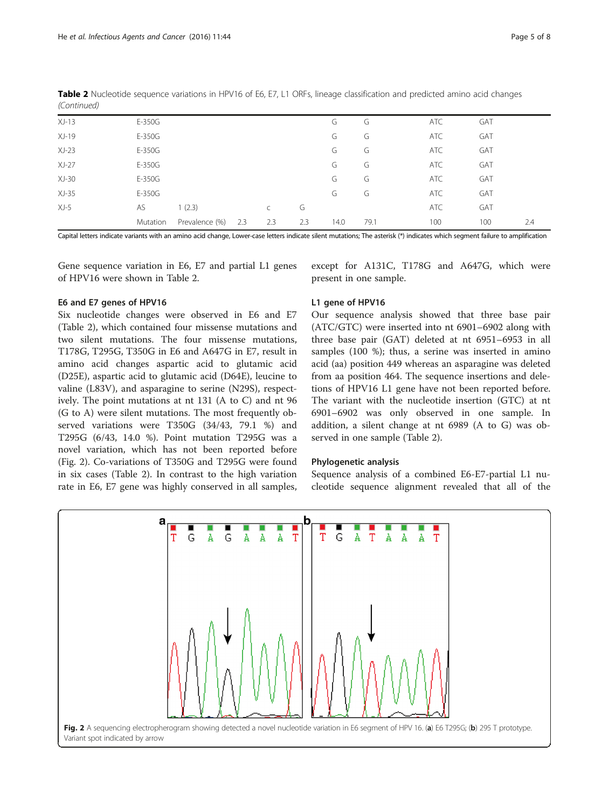| $XJ-13$ | $E-350G$ |                |     |              |     | G    | G    | <b>ATC</b> | GAT |     |
|---------|----------|----------------|-----|--------------|-----|------|------|------------|-----|-----|
| $XJ-19$ | $E-350G$ |                |     |              |     | G    | G    | ATC        | GAT |     |
| $XJ-23$ | $E-350G$ |                |     |              |     | G    | G    | <b>ATC</b> | GAT |     |
| $XJ-27$ | $E-350G$ |                |     |              |     | G    | G    | ATC        | GAT |     |
| $XJ-30$ | $E-350G$ |                |     |              |     | G    | G    | <b>ATC</b> | GAT |     |
| $XJ-35$ | $E-350G$ |                |     |              |     | G    | G    | ATC        | GAT |     |
| $XJ-5$  | AS       | 1(2.3)         |     | $\mathsf{C}$ | G   |      |      | ATC        | GAT |     |
|         | Mutation | Prevalence (%) | 2.3 | 2.3          | 2.3 | 14.0 | 79.1 | 100        | 100 | 2.4 |

Table 2 Nucleotide sequence variations in HPV16 of E6, E7, L1 ORFs, lineage classification and predicted amino acid changes (Continued)

Capital letters indicate variants with an amino acid change, Lower-case letters indicate silent mutations; The asterisk (\*) indicates which segment failure to amplification

Gene sequence variation in E6, E7 and partial L1 genes of HPV16 were shown in Table [2.](#page-3-0)

# E6 and E7 genes of HPV16

Six nucleotide changes were observed in E6 and E7 (Table [2](#page-3-0)), which contained four missense mutations and two silent mutations. The four missense mutations, T178G, T295G, T350G in E6 and A647G in E7, result in amino acid changes aspartic acid to glutamic acid (D25E), aspartic acid to glutamic acid (D64E), leucine to valine (L83V), and asparagine to serine (N29S), respectively. The point mutations at nt 131 (A to C) and nt 96 (G to A) were silent mutations. The most frequently observed variations were T350G (34/43, 79.1 %) and T295G (6/43, 14.0 %). Point mutation T295G was a novel variation, which has not been reported before (Fig. 2). Co-variations of T350G and T295G were found in six cases (Table [2\)](#page-3-0). In contrast to the high variation rate in E6, E7 gene was highly conserved in all samples,

except for A131C, T178G and A647G, which were present in one sample.

# L1 gene of HPV16

Our sequence analysis showed that three base pair (ATC/GTC) were inserted into nt 6901–6902 along with three base pair (GAT) deleted at nt 6951–6953 in all samples (100 %); thus, a serine was inserted in amino acid (aa) position 449 whereas an asparagine was deleted from aa position 464. The sequence insertions and deletions of HPV16 L1 gene have not been reported before. The variant with the nucleotide insertion (GTC) at nt 6901–6902 was only observed in one sample. In addition, a silent change at nt 6989 (A to G) was observed in one sample (Table [2](#page-3-0)).

# Phylogenetic analysis

Sequence analysis of a combined E6-E7-partial L1 nucleotide sequence alignment revealed that all of the

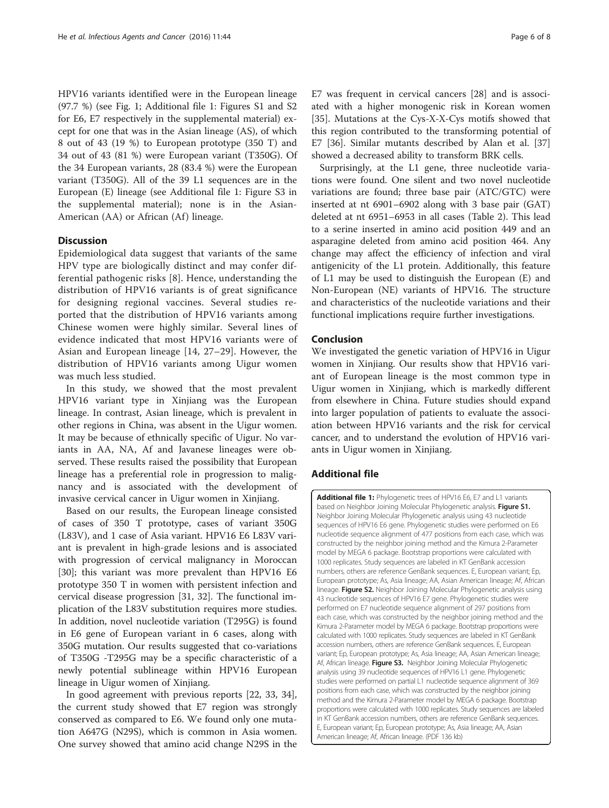HPV16 variants identified were in the European lineage (97.7 %) (see Fig. [1](#page-2-0); Additional file 1: Figures S1 and S2 for E6, E7 respectively in the supplemental material) except for one that was in the Asian lineage (AS), of which 8 out of 43 (19 %) to European prototype (350 T) and 34 out of 43 (81 %) were European variant (T350G). Of the 34 European variants, 28 (83.4 %) were the European variant (T350G). All of the 39 L1 sequences are in the European (E) lineage (see Additional file 1: Figure S3 in the supplemental material); none is in the Asian-American (AA) or African (Af) lineage.

# **Discussion**

Epidemiological data suggest that variants of the same HPV type are biologically distinct and may confer differential pathogenic risks [[8\]](#page-6-0). Hence, understanding the distribution of HPV16 variants is of great significance for designing regional vaccines. Several studies reported that the distribution of HPV16 variants among Chinese women were highly similar. Several lines of evidence indicated that most HPV16 variants were of Asian and European lineage [\[14](#page-6-0), [27](#page-7-0)–[29](#page-7-0)]. However, the distribution of HPV16 variants among Uigur women was much less studied.

In this study, we showed that the most prevalent HPV16 variant type in Xinjiang was the European lineage. In contrast, Asian lineage, which is prevalent in other regions in China, was absent in the Uigur women. It may be because of ethnically specific of Uigur. No variants in AA, NA, Af and Javanese lineages were observed. These results raised the possibility that European lineage has a preferential role in progression to malignancy and is associated with the development of invasive cervical cancer in Uigur women in Xinjiang.

Based on our results, the European lineage consisted of cases of 350 T prototype, cases of variant 350G (L83V), and 1 case of Asia variant. HPV16 E6 L83V variant is prevalent in high-grade lesions and is associated with progression of cervical malignancy in Moroccan [[30\]](#page-7-0); this variant was more prevalent than HPV16 E6 prototype 350 T in women with persistent infection and cervical disease progression [[31](#page-7-0), [32\]](#page-7-0). The functional implication of the L83V substitution requires more studies. In addition, novel nucleotide variation (T295G) is found in E6 gene of European variant in 6 cases, along with 350G mutation. Our results suggested that co-variations of T350G -T295G may be a specific characteristic of a newly potential sublineage within HPV16 European lineage in Uigur women of Xinjiang.

In good agreement with previous reports [[22,](#page-6-0) [33](#page-7-0), [34](#page-7-0)], the current study showed that E7 region was strongly conserved as compared to E6. We found only one mutation A647G (N29S), which is common in Asia women. One survey showed that amino acid change N29S in the E7 was frequent in cervical cancers [[28](#page-7-0)] and is associated with a higher monogenic risk in Korean women [[35\]](#page-7-0). Mutations at the Cys-X-X-Cys motifs showed that this region contributed to the transforming potential of E7 [\[36\]](#page-7-0). Similar mutants described by Alan et al. [[37](#page-7-0)] showed a decreased ability to transform BRK cells.

Surprisingly, at the L1 gene, three nucleotide variations were found. One silent and two novel nucleotide variations are found; three base pair (ATC/GTC) were inserted at nt 6901–6902 along with 3 base pair (GAT) deleted at nt 6951–6953 in all cases (Table [2\)](#page-3-0). This lead to a serine inserted in amino acid position 449 and an asparagine deleted from amino acid position 464. Any change may affect the efficiency of infection and viral antigenicity of the L1 protein. Additionally, this feature of L1 may be used to distinguish the European (E) and Non-European (NE) variants of HPV16. The structure and characteristics of the nucleotide variations and their functional implications require further investigations.

# Conclusion

We investigated the genetic variation of HPV16 in Uigur women in Xinjiang. Our results show that HPV16 variant of European lineage is the most common type in Uigur women in Xinjiang, which is markedly different from elsewhere in China. Future studies should expand into larger population of patients to evaluate the association between HPV16 variants and the risk for cervical cancer, and to understand the evolution of HPV16 variants in Uigur women in Xinjiang.

# Additional file

[Additional file 1:](dx.doi.org/10.1186/s13027-016-0089-2) Phylogenetic trees of HPV16 E6, E7 and L1 variants based on Neighbor Joining Molecular Phylogenetic analysis. Figure S1. Neighbor Joining Molecular Phylogenetic analysis using 43 nucleotide sequences of HPV16 E6 gene. Phylogenetic studies were performed on E6 nucleotide sequence alignment of 477 positions from each case, which was constructed by the neighbor joining method and the Kimura 2-Parameter model by MEGA 6 package. Bootstrap proportions were calculated with 1000 replicates. Study sequences are labeled in KT GenBank accession numbers, others are reference GenBank sequences. E, European variant; Ep, European prototype; As, Asia lineage; AA, Asian American lineage; Af, African lineage. Figure S2. Neighbor Joining Molecular Phylogenetic analysis using 43 nucleotide sequences of HPV16 E7 gene. Phylogenetic studies were performed on E7 nucleotide sequence alignment of 297 positions from each case, which was constructed by the neighbor joining method and the Kimura 2-Parameter model by MEGA 6 package. Bootstrap proportions were calculated with 1000 replicates. Study sequences are labeled in KT GenBank accession numbers, others are reference GenBank sequences. E, European variant; Ep, European prototype; As, Asia lineage; AA, Asian American lineage; Af, African lineage. Figure S3. Neighbor Joining Molecular Phylogenetic analysis using 39 nucleotide sequences of HPV16 L1 gene. Phylogenetic studies were performed on partial L1 nucleotide sequence alignment of 369 positions from each case, which was constructed by the neighbor joining method and the Kimura 2-Parameter model by MEGA 6 package. Bootstrap proportions were calculated with 1000 replicates. Study sequences are labeled in KT GenBank accession numbers, others are reference GenBank sequences. E, European variant; Ep, European prototype; As, Asia lineage; AA, Asian American lineage; Af, African lineage. (PDF 136 kb)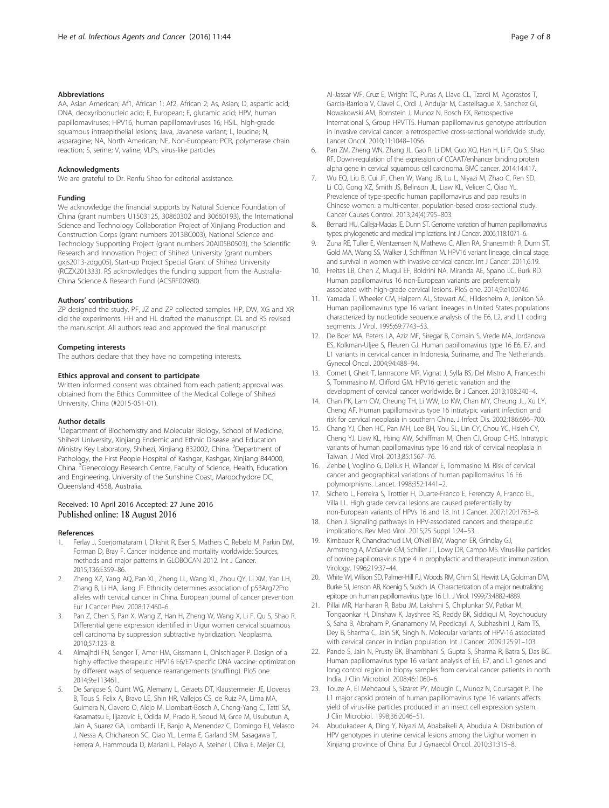#### <span id="page-6-0"></span>Abbreviations

AA, Asian American; Af1, African 1; Af2, African 2; As, Asian; D, aspartic acid; DNA, deoxyribonucleic acid; E, European; E, glutamic acid; HPV, human papillomaviruses; HPV16, human papillomaviruses 16; HSIL, high-grade squamous intraepithelial lesions; Java, Javanese variant; L, leucine; N, asparagine; NA, North American; NE, Non-European; PCR, polymerase chain reaction; S, serine; V, valine; VLPs, virus-like particles

### Acknowledgments

We are grateful to Dr. Renfu Shao for editorial assistance.

#### Funding

We acknowledge the financial supports by Natural Science Foundation of China (grant numbers U1503125, 30860302 and 30660193), the International Science and Technology Collaboration Project of Xinjiang Production and Construction Corps (grant numbers 2013BC003), National Science and Technology Supporting Project (grant numbers 20AI05B0503), the Scientific Research and Innovation Project of Shihezi University (grant numbers gxjs2013-zdgg05), Start-up Project Special Grant of Shihezi University (RCZX201333). RS acknowledges the funding support from the Australia-China Science & Research Fund (ACSRF00980).

#### Authors' contributions

ZP designed the study. PF, JZ and ZP collected samples. HP, DW, XG and XR did the experiments. HH and HL drafted the manuscript. DL and RS revised the manuscript. All authors read and approved the final manuscript.

#### Competing interests

The authors declare that they have no competing interests.

#### Ethics approval and consent to participate

Written informed consent was obtained from each patient; approval was obtained from the Ethics Committee of the Medical College of Shihezi University, China (#2015-051-01).

#### Author details

<sup>1</sup>Department of Biochemistry and Molecular Biology, School of Medicine, Shihezi University, Xinjiang Endemic and Ethnic Disease and Education Ministry Key Laboratory, Shihezi, Xinjiang 832002, China. <sup>2</sup>Department of Pathology, the First People Hospital of Kashgar, Kashgar, Xinjiang 844000, China. <sup>3</sup> Genecology Research Centre, Faculty of Science, Health, Education and Engineering, University of the Sunshine Coast, Maroochydore DC, Queensland 4558, Australia.

# Received: 10 April 2016 Accepted: 27 June 2016 Published online: 18 August 2016

#### References

- 1. Ferlay J, Soerjomataram I, Dikshit R, Eser S, Mathers C, Rebelo M, Parkin DM, Forman D, Bray F. Cancer incidence and mortality worldwide: Sources, methods and major patterns in GLOBOCAN 2012. Int J Cancer. 2015;136:E359–86.
- Zheng XZ, Yang AQ, Pan XL, Zheng LL, Wang XL, Zhou QY, Li XM, Yan LH, Zhang B, Li HA, Jiang JF. Ethnicity determines association of p53Arg72Pro alleles with cervical cancer in China. European journal of cancer prevention. Eur J Cancer Prev. 2008;17:460–6.
- 3. Pan Z, Chen S, Pan X, Wang Z, Han H, Zheng W, Wang X, Li F, Qu S, Shao R. Differential gene expression identified in Uigur women cervical squamous cell carcinoma by suppression subtractive hybridization. Neoplasma. 2010;57:123–8.
- 4. Almajhdi FN, Senger T, Amer HM, Gissmann L, Ohlschlager P. Design of a highly effective therapeutic HPV16 E6/E7-specific DNA vaccine: optimization by different ways of sequence rearrangements (shuffling). PloS one. 2014;9:e113461.
- 5. De Sanjose S, Quint WG, Alemany L, Geraets DT, Klaustermeier JE, Lloveras B, Tous S, Felix A, Bravo LE, Shin HR, Vallejos CS, de Ruiz PA, Lima MA, Guimera N, Clavero O, Alejo M, Llombart-Bosch A, Cheng-Yang C, Tatti SA, Kasamatsu E, Iljazovic E, Odida M, Prado R, Seoud M, Grce M, Usubutun A, Jain A, Suarez GA, Lombardi LE, Banjo A, Menendez C, Domingo EJ, Velasco J, Nessa A, Chichareon SC, Qiao YL, Lerma E, Garland SM, Sasagawa T, Ferrera A, Hammouda D, Mariani L, Pelayo A, Steiner I, Oliva E, Meijer CJ,

Al-Jassar WF, Cruz E, Wright TC, Puras A, Llave CL, Tzardi M, Agorastos T, Garcia-Barriola V, Clavel C, Ordi J, Andujar M, Castellsague X, Sanchez GI, Nowakowski AM, Bornstein J, Munoz N, Bosch FX, Retrospective International S, Group HPVTTS. Human papillomavirus genotype attribution in invasive cervical cancer: a retrospective cross-sectional worldwide study. Lancet Oncol. 2010;11:1048–1056.

- 6. Pan ZM, Zheng WN, Zhang JL, Gao R, Li DM, Guo XQ, Han H, Li F, Qu S, Shao RF. Down-regulation of the expression of CCAAT/enhancer binding protein alpha gene in cervical squamous cell carcinoma. BMC cancer. 2014;14:417.
- 7. Wu EQ, Liu B, Cui JF, Chen W, Wang JB, Lu L, Niyazi M, Zhao C, Ren SD, Li CQ, Gong XZ, Smith JS, Belinson JL, Liaw KL, Velicer C, Qiao YL. Prevalence of type-specific human papillomavirus and pap results in Chinese women: a multi-center, population-based cross-sectional study. Cancer Causes Control. 2013;24(4):795–803.
- 8. Bernard HU, Calleja-Macias IE, Dunn ST. Genome variation of human papillomavirus types: phylogenetic and medical implications. Int J Cancer. 2006;118:1071–6.
- 9. Zuna RE, Tuller E, Wentzensen N, Mathews C, Allen RA, Shanesmith R, Dunn ST, Gold MA, Wang SS, Walker J, Schiffman M. HPV16 variant lineage, clinical stage, and survival in women with invasive cervical cancer. Int J Cancer. 2011;6:19.
- 10. Freitas LB, Chen Z, Muqui EF, Boldrini NA, Miranda AE, Spano LC, Burk RD. Human papillomavirus 16 non-European variants are preferentially associated with high-grade cervical lesions. PloS one. 2014;9:e100746.
- 11. Yamada T, Wheeler CM, Halpern AL, Stewart AC, Hildesheim A, Jenison SA. Human papillomavirus type 16 variant lineages in United States populations characterized by nucleotide sequence analysis of the E6, L2, and L1 coding segments. J Virol. 1995;69:7743–53.
- 12. De Boer MA, Peters LA, Aziz MF, Siregar B, Cornain S, Vrede MA, Jordanova ES, Kolkman-Uljee S, Fleuren GJ. Human papillomavirus type 16 E6, E7, and L1 variants in cervical cancer in Indonesia, Suriname, and The Netherlands. Gynecol Oncol. 2004;94:488–94.
- 13. Cornet I, Gheit T, Iannacone MR, Vignat J, Sylla BS, Del Mistro A, Franceschi S, Tommasino M, Clifford GM. HPV16 genetic variation and the development of cervical cancer worldwide. Br J Cancer. 2013;108:240–4.
- 14. Chan PK, Lam CW, Cheung TH, Li WW, Lo KW, Chan MY, Cheung JL, Xu LY, Cheng AF. Human papillomavirus type 16 intratypic variant infection and risk for cervical neoplasia in southern China. J Infect Dis. 2002;186:696–700.
- 15. Chang YJ, Chen HC, Pan MH, Lee BH, You SL, Lin CY, Chou YC, Hsieh CY, Cheng YJ, Liaw KL, Hsing AW, Schiffman M, Chen CJ, Group C-HS. Intratypic variants of human papillomavirus type 16 and risk of cervical neoplasia in Taiwan. J Med Virol. 2013;85:1567–76.
- 16. Zehbe I, Voglino G, Delius H, Wilander E, Tommasino M. Risk of cervical cancer and geographical variations of human papillomavirus 16 E6 polymorphisms. Lancet. 1998;352:1441–2.
- 17. Sichero L, Ferreira S, Trottier H, Duarte-Franco E, Ferenczy A, Franco EL, Villa LL. High grade cervical lesions are caused preferentially by non-European variants of HPVs 16 and 18. Int J Cancer. 2007;120:1763–8.
- 18. Chen J. Signaling pathways in HPV-associated cancers and therapeutic implications. Rev Med Virol. 2015;25 Suppl 1:24–53.
- 19. Kirnbauer R, Chandrachud LM, O'Neil BW, Wagner ER, Grindlay GJ, Armstrong A, McGarvie GM, Schiller JT, Lowy DR, Campo MS. Virus-like particles of bovine papillomavirus type 4 in prophylactic and therapeutic immunization. Virology. 1996;219:37–44.
- 20. White WI, Wilson SD, Palmer-Hill FJ, Woods RM, Ghim SJ, Hewitt LA, Goldman DM, Burke SJ, Jenson AB, Koenig S, Suzich JA. Characterization of a major neutralizing epitope on human papillomavirus type 16 L1. J Virol. 1999;73:4882-4889.
- 21. Pillai MR, Hariharan R, Babu JM, Lakshmi S, Chiplunkar SV, Patkar M, Tongaonkar H, Dinshaw K, Jayshree RS, Reddy BK, Siddiqui M, Roychoudury S, Saha B, Abraham P, Gnanamony M, Peedicayil A, Subhashini J, Ram TS, Dey B, Sharma C, Jain SK, Singh N. Molecular variants of HPV-16 associated with cervical cancer in Indian population. Int J Cancer. 2009;125:91–103.
- 22. Pande S, Jain N, Prusty BK, Bhambhani S, Gupta S, Sharma R, Batra S, Das BC. Human papillomavirus type 16 variant analysis of E6, E7, and L1 genes and long control region in biopsy samples from cervical cancer patients in north India. J Clin Microbiol. 2008;46:1060–6.
- 23. Touze A, El Mehdaoui S, Sizaret PY, Mougin C, Munoz N, Coursaget P. The L1 major capsid protein of human papillomavirus type 16 variants affects yield of virus-like particles produced in an insect cell expression system. J Clin Microbiol. 1998;36:2046–51.
- 24. Abudukadeer A, Ding Y, Niyazi M, Ababaikeli A, Abudula A. Distribution of HPV genotypes in uterine cervical lesions among the Uighur women in Xinjiang province of China. Eur J Gynaecol Oncol. 2010;31:315–8.